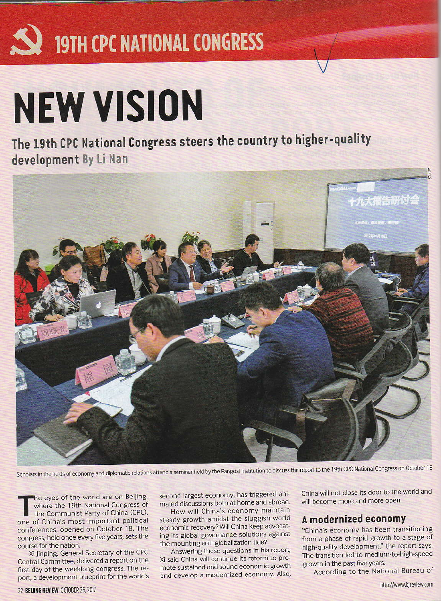

## **NEW VISION**

The 19th CPC National Congress steers the country to higher-quality development By Li Nan



Scholars in the fields of economy and diplomatic relations attend a seminar held by the Pangoal Institution to discuss the report to the 19th CPC National Congress on October 18

he eyes of the world are on Beijing, where the 19th National Congress of the Communist Party of China (CPC), one of China's most important political conferences, opened on October 18. The congress, held once every five years, sets the course for the nation.

Xi linping, General Secretary of the CPC Central Committee, delivered a report on the first day of the weeklong congress. The report, a development blueprint for the world's second largest economy, has triggered animated discussions both at home and abroad.

How will China's economy maintain steady growth amidst the sluggish world economic recovery? Will China keep advocating its global governance solutions against the mounting anti-globalization tide?

Answering these questions in his report, Xi said China will continue its reform to promote sustained and sound economic growth and develop a modernized economy. Also, China will not close its door to the world and will become more and more open.

## A modernized economy

"China's economy has been transitioning from a phase of rapid growth to a stage of high-quality development," the report says. The transition led to medium-to-high-speed growth in the past five years.

According to the National Bureau of